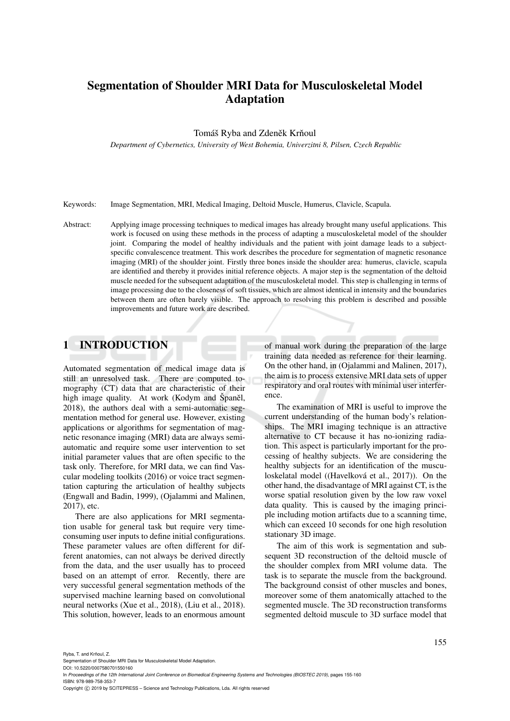# Segmentation of Shoulder MRI Data for Musculoskeletal Model Adaptation

### Tomáš Ryba and Zdeněk Krňoul

*Department of Cybernetics, University of West Bohemia, Univerzitni 8, Pilsen, Czech Republic*

Keywords: Image Segmentation, MRI, Medical Imaging, Deltoid Muscle, Humerus, Clavicle, Scapula.

Abstract: Applying image processing techniques to medical images has already brought many useful applications. This work is focused on using these methods in the process of adapting a musculoskeletal model of the shoulder joint. Comparing the model of healthy individuals and the patient with joint damage leads to a subjectspecific convalescence treatment. This work describes the procedure for segmentation of magnetic resonance imaging (MRI) of the shoulder joint. Firstly three bones inside the shoulder area: humerus, clavicle, scapula are identified and thereby it provides initial reference objects. A major step is the segmentation of the deltoid muscle needed for the subsequent adaptation of the musculoskeletal model. This step is challenging in terms of image processing due to the closeness of soft tissues, which are almost identical in intensity and the boundaries between them are often barely visible. The approach to resolving this problem is described and possible improvements and future work are described.

# 1 INTRODUCTION

Automated segmentation of medical image data is still an unresolved task. There are computed tomography (CT) data that are characteristic of their high image quality. At work (Kodym and Španěl, 2018), the authors deal with a semi-automatic segmentation method for general use. However, existing applications or algorithms for segmentation of magnetic resonance imaging (MRI) data are always semiautomatic and require some user intervention to set initial parameter values that are often specific to the task only. Therefore, for MRI data, we can find Vascular modeling toolkits (2016) or voice tract segmentation capturing the articulation of healthy subjects (Engwall and Badin, 1999), (Ojalammi and Malinen, 2017), etc.

There are also applications for MRI segmentation usable for general task but require very timeconsuming user inputs to define initial configurations. These parameter values are often different for different anatomies, can not always be derived directly from the data, and the user usually has to proceed based on an attempt of error. Recently, there are very successful general segmentation methods of the supervised machine learning based on convolutional neural networks (Xue et al., 2018), (Liu et al., 2018). This solution, however, leads to an enormous amount of manual work during the preparation of the large training data needed as reference for their learning. On the other hand, in (Ojalammi and Malinen, 2017), the aim is to process extensive MRI data sets of upper respiratory and oral routes with minimal user interference.

The examination of MRI is useful to improve the current understanding of the human body's relationships. The MRI imaging technique is an attractive alternative to CT because it has no-ionizing radiation. This aspect is particularly important for the processing of healthy subjects. We are considering the healthy subjects for an identification of the musculoskelatal model ((Havelková et al., 2017)). On the other hand, the disadvantage of MRI against CT, is the worse spatial resolution given by the low raw voxel data quality. This is caused by the imaging principle including motion artifacts due to a scanning time, which can exceed 10 seconds for one high resolution stationary 3D image.

The aim of this work is segmentation and subsequent 3D reconstruction of the deltoid muscle of the shoulder complex from MRI volume data. The task is to separate the muscle from the background. The background consist of other muscles and bones, moreover some of them anatomically attached to the segmented muscle. The 3D reconstruction transforms segmented deltoid muscule to 3D surface model that

Ryba, T. and Krňoul, Z.

DOI: 10.5220/0007580701550160

In *Proceedings of the 12th International Joint Conference on Biomedical Engineering Systems and Technologies (BIOSTEC 2019)*, pages 155-160 ISBN: 978-989-758-353-7

Copyright (C) 2019 by SCITEPRESS - Science and Technology Publications, Lda. All rights reserved

Segmentation of Shoulder MRI Data for Musculoskeletal Model Adaptation.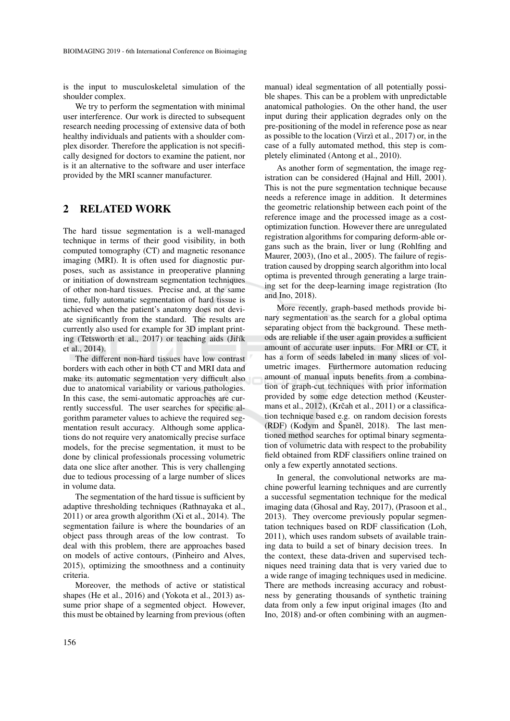is the input to musculoskeletal simulation of the shoulder complex.

We try to perform the segmentation with minimal user interference. Our work is directed to subsequent research needing processing of extensive data of both healthy individuals and patients with a shoulder complex disorder. Therefore the application is not specifically designed for doctors to examine the patient, nor is it an alternative to the software and user interface provided by the MRI scanner manufacturer.

### 2 RELATED WORK

The hard tissue segmentation is a well-managed technique in terms of their good visibility, in both computed tomography (CT) and magnetic resonance imaging (MRI). It is often used for diagnostic purposes, such as assistance in preoperative planning or initiation of downstream segmentation techniques of other non-hard tissues. Precise and, at the same time, fully automatic segmentation of hard tissue is achieved when the patient's anatomy does not deviate significantly from the standard. The results are currently also used for example for 3D implant printing (Tetsworth et al., 2017) or teaching aids (Jiřík et al., 2014).

The different non-hard tissues have low contrast borders with each other in both CT and MRI data and make its automatic segmentation very difficult also due to anatomical variability or various pathologies. In this case, the semi-automatic approaches are currently successful. The user searches for specific algorithm parameter values to achieve the required segmentation result accuracy. Although some applications do not require very anatomically precise surface models, for the precise segmentation, it must to be done by clinical professionals processing volumetric data one slice after another. This is very challenging due to tedious processing of a large number of slices in volume data.

The segmentation of the hard tissue is sufficient by adaptive thresholding techniques (Rathnayaka et al., 2011) or area growth algorithm (Xi et al., 2014). The segmentation failure is where the boundaries of an object pass through areas of the low contrast. To deal with this problem, there are approaches based on models of active contours, (Pinheiro and Alves, 2015), optimizing the smoothness and a continuity criteria.

Moreover, the methods of active or statistical shapes (He et al., 2016) and (Yokota et al., 2013) assume prior shape of a segmented object. However, this must be obtained by learning from previous (often

manual) ideal segmentation of all potentially possible shapes. This can be a problem with unpredictable anatomical pathologies. On the other hand, the user input during their application degrades only on the pre-positioning of the model in reference pose as near as possible to the location (Virzì et al.,  $2017$ ) or, in the case of a fully automated method, this step is completely eliminated (Antong et al., 2010).

As another form of segmentation, the image registration can be considered (Hajnal and Hill, 2001). This is not the pure segmentation technique because needs a reference image in addition. It determines the geometric relationship between each point of the reference image and the processed image as a costoptimization function. However there are unregulated registration algorithms for comparing deform-able organs such as the brain, liver or lung (Rohlfing and Maurer, 2003), (Ino et al., 2005). The failure of registration caused by dropping search algorithm into local optima is prevented through generating a large training set for the deep-learning image registration (Ito and Ino, 2018).

More recently, graph-based methods provide binary segmentation as the search for a global optima separating object from the background. These methods are reliable if the user again provides a sufficient amount of accurate user inputs. For MRI or CT, it has a form of seeds labeled in many slices of volumetric images. Furthermore automation reducing amount of manual inputs benefits from a combination of graph-cut techniques with prior information provided by some edge detection method (Keustermans et al.,  $2012$ ), (Krčah et al.,  $2011$ ) or a classification technique based e.g. on random decision forests (RDF) (Kodym and Španěl, 2018). The last mentioned method searches for optimal binary segmentation of volumetric data with respect to the probability field obtained from RDF classifiers online trained on only a few expertly annotated sections.

In general, the convolutional networks are machine powerful learning techniques and are currently a successful segmentation technique for the medical imaging data (Ghosal and Ray, 2017), (Prasoon et al., 2013). They overcome previously popular segmentation techniques based on RDF classification (Loh, 2011), which uses random subsets of available training data to build a set of binary decision trees. In the context, these data-driven and supervised techniques need training data that is very varied due to a wide range of imaging techniques used in medicine. There are methods increasing accuracy and robustness by generating thousands of synthetic training data from only a few input original images (Ito and Ino, 2018) and-or often combining with an augmen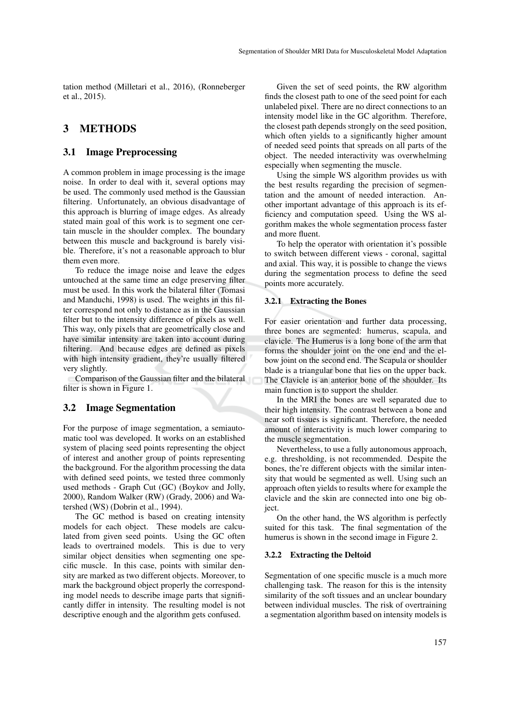tation method (Milletari et al., 2016), (Ronneberger et al., 2015).

## 3 METHODS

### 3.1 Image Preprocessing

A common problem in image processing is the image noise. In order to deal with it, several options may be used. The commonly used method is the Gaussian filtering. Unfortunately, an obvious disadvantage of this approach is blurring of image edges. As already stated main goal of this work is to segment one certain muscle in the shoulder complex. The boundary between this muscle and background is barely visible. Therefore, it's not a reasonable approach to blur them even more.

To reduce the image noise and leave the edges untouched at the same time an edge preserving filter must be used. In this work the bilateral filter (Tomasi and Manduchi, 1998) is used. The weights in this filter correspond not only to distance as in the Gaussian filter but to the intensity difference of pixels as well. This way, only pixels that are geometrically close and have similar intensity are taken into account during filtering. And because edges are defined as pixels with high intensity gradient, they're usually filtered very slightly.

Comparison of the Gaussian filter and the bilateral filter is shown in Figure 1.

#### 3.2 Image Segmentation

For the purpose of image segmentation, a semiautomatic tool was developed. It works on an established system of placing seed points representing the object of interest and another group of points representing the background. For the algorithm processing the data with defined seed points, we tested three commonly used methods - Graph Cut (GC) (Boykov and Jolly, 2000), Random Walker (RW) (Grady, 2006) and Watershed (WS) (Dobrin et al., 1994).

The GC method is based on creating intensity models for each object. These models are calculated from given seed points. Using the GC often leads to overtrained models. This is due to very similar object densities when segmenting one specific muscle. In this case, points with similar density are marked as two different objects. Moreover, to mark the background object properly the corresponding model needs to describe image parts that significantly differ in intensity. The resulting model is not descriptive enough and the algorithm gets confused.

Given the set of seed points, the RW algorithm finds the closest path to one of the seed point for each unlabeled pixel. There are no direct connections to an intensity model like in the GC algorithm. Therefore, the closest path depends strongly on the seed position, which often yields to a significantly higher amount of needed seed points that spreads on all parts of the object. The needed interactivity was overwhelming especially when segmenting the muscle.

Using the simple WS algorithm provides us with the best results regarding the precision of segmentation and the amount of needed interaction. Another important advantage of this approach is its efficiency and computation speed. Using the WS algorithm makes the whole segmentation process faster and more fluent.

To help the operator with orientation it's possible to switch between different views - coronal, sagittal and axial. This way, it is possible to change the views during the segmentation process to define the seed points more accurately.

#### 3.2.1 Extracting the Bones

For easier orientation and further data processing, three bones are segmented: humerus, scapula, and clavicle. The Humerus is a long bone of the arm that forms the shoulder joint on the one end and the elbow joint on the second end. The Scapula or shoulder blade is a triangular bone that lies on the upper back. The Clavicle is an anterior bone of the shoulder. Its main function is to support the shulder.

In the MRI the bones are well separated due to their high intensity. The contrast between a bone and near soft tissues is significant. Therefore, the needed amount of interactivity is much lower comparing to the muscle segmentation.

Nevertheless, to use a fully autonomous approach, e.g. thresholding, is not recommended. Despite the bones, the're different objects with the similar intensity that would be segmented as well. Using such an approach often yields to results where for example the clavicle and the skin are connected into one big object.

On the other hand, the WS algorithm is perfectly suited for this task. The final segmentation of the humerus is shown in the second image in Figure 2.

#### 3.2.2 Extracting the Deltoid

Segmentation of one specific muscle is a much more challenging task. The reason for this is the intensity similarity of the soft tissues and an unclear boundary between individual muscles. The risk of overtraining a segmentation algorithm based on intensity models is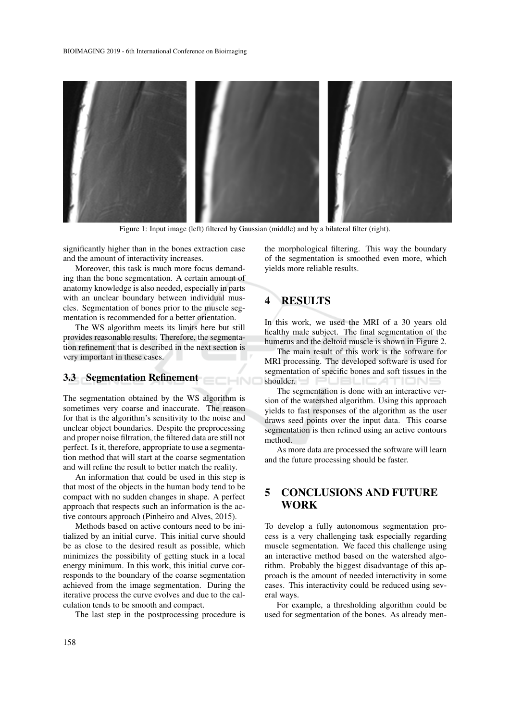

Figure 1: Input image (left) filtered by Gaussian (middle) and by a bilateral filter (right).

**CHNO** 

significantly higher than in the bones extraction case and the amount of interactivity increases.

Moreover, this task is much more focus demanding than the bone segmentation. A certain amount of anatomy knowledge is also needed, especially in parts with an unclear boundary between individual muscles. Segmentation of bones prior to the muscle segmentation is recommended for a better orientation.

The WS algorithm meets its limits here but still provides reasonable results. Therefore, the segmentation refinement that is described in the next section is very important in these cases.

### 3.3 Segmentation Refinement

The segmentation obtained by the WS algorithm is sometimes very coarse and inaccurate. The reason for that is the algorithm's sensitivity to the noise and unclear object boundaries. Despite the preprocessing and proper noise filtration, the filtered data are still not perfect. Is it, therefore, appropriate to use a segmentation method that will start at the coarse segmentation and will refine the result to better match the reality.

An information that could be used in this step is that most of the objects in the human body tend to be compact with no sudden changes in shape. A perfect approach that respects such an information is the active contours approach (Pinheiro and Alves, 2015).

Methods based on active contours need to be initialized by an initial curve. This initial curve should be as close to the desired result as possible, which minimizes the possibility of getting stuck in a local energy minimum. In this work, this initial curve corresponds to the boundary of the coarse segmentation achieved from the image segmentation. During the iterative process the curve evolves and due to the calculation tends to be smooth and compact.

The last step in the postprocessing procedure is

the morphological filtering. This way the boundary of the segmentation is smoothed even more, which yields more reliable results.

## 4 RESULTS

In this work, we used the MRI of a 30 years old healthy male subject. The final segmentation of the humerus and the deltoid muscle is shown in Figure 2.

The main result of this work is the software for MRI processing. The developed software is used for segmentation of specific bones and soft tissues in the shoulder. PUBLICATIONS

The segmentation is done with an interactive version of the watershed algorithm. Using this approach yields to fast responses of the algorithm as the user draws seed points over the input data. This coarse segmentation is then refined using an active contours method.

As more data are processed the software will learn and the future processing should be faster.

## 5 CONCLUSIONS AND FUTURE WORK

To develop a fully autonomous segmentation process is a very challenging task especially regarding muscle segmentation. We faced this challenge using an interactive method based on the watershed algorithm. Probably the biggest disadvantage of this approach is the amount of needed interactivity in some cases. This interactivity could be reduced using several ways.

For example, a thresholding algorithm could be used for segmentation of the bones. As already men-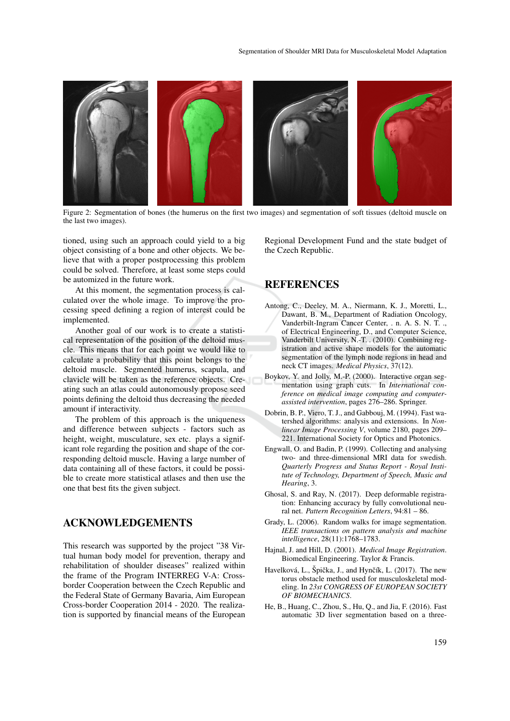

Figure 2: Segmentation of bones (the humerus on the first two images) and segmentation of soft tissues (deltoid muscle on the last two images).

tioned, using such an approach could yield to a big object consisting of a bone and other objects. We believe that with a proper postprocessing this problem could be solved. Therefore, at least some steps could be automized in the future work.

At this moment, the segmentation process is calculated over the whole image. To improve the processing speed defining a region of interest could be implemented.

Another goal of our work is to create a statistical representation of the position of the deltoid muscle. This means that for each point we would like to calculate a probability that this point belongs to the deltoid muscle. Segmented humerus, scapula, and clavicle will be taken as the reference objects. Creating such an atlas could autonomously propose seed points defining the deltoid thus decreasing the needed amount if interactivity.

The problem of this approach is the uniqueness and difference between subjects - factors such as height, weight, musculature, sex etc. plays a significant role regarding the position and shape of the corresponding deltoid muscle. Having a large number of data containing all of these factors, it could be possible to create more statistical atlases and then use the one that best fits the given subject.

## ACKNOWLEDGEMENTS

This research was supported by the project "38 Virtual human body model for prevention, therapy and rehabilitation of shoulder diseases" realized within the frame of the Program INTERREG V-A: Crossborder Cooperation between the Czech Republic and the Federal State of Germany Bavaria, Aim European Cross-border Cooperation 2014 - 2020. The realization is supported by financial means of the European

Regional Development Fund and the state budget of the Czech Republic.

### REFERENCES

- Antong, C., Deeley, M. A., Niermann, K. J., Moretti, L., Dawant, B. M., Department of Radiation Oncology, Vanderbilt-Ingram Cancer Center, . n. A. S. N. T. ., of Electrical Engineering, D., and Computer Science, Vanderbilt University, N.-T. . (2010). Combining registration and active shape models for the automatic segmentation of the lymph node regions in head and neck CT images. *Medical Physics*, 37(12).
- Boykov, Y. and Jolly, M.-P. (2000). Interactive organ segmentation using graph cuts. In *International conference on medical image computing and computerassisted intervention*, pages 276–286. Springer.
- Dobrin, B. P., Viero, T. J., and Gabbouj, M. (1994). Fast watershed algorithms: analysis and extensions. In *Nonlinear Image Processing V*, volume 2180, pages 209– 221. International Society for Optics and Photonics.
- Engwall, O. and Badin, P. (1999). Collecting and analysing two- and three-dimensional MRI data for swedish. *Quarterly Progress and Status Report - Royal Institute of Technology, Department of Speech, Music and Hearing*, 3.
- Ghosal, S. and Ray, N. (2017). Deep deformable registration: Enhancing accuracy by fully convolutional neural net. *Pattern Recognition Letters*, 94:81 – 86.
- Grady, L. (2006). Random walks for image segmentation. *IEEE transactions on pattern analysis and machine intelligence*, 28(11):1768–1783.
- Hajnal, J. and Hill, D. (2001). *Medical Image Registration*. Biomedical Engineering. Taylor & Francis.
- Havelková, L., Špička, J., and Hynčík, L. (2017). The new torus obstacle method used for musculoskeletal modeling. In *23st CONGRESS OF EUROPEAN SOCIETY OF BIOMECHANICS*.
- He, B., Huang, C., Zhou, S., Hu, Q., and Jia, F. (2016). Fast automatic 3D liver segmentation based on a three-